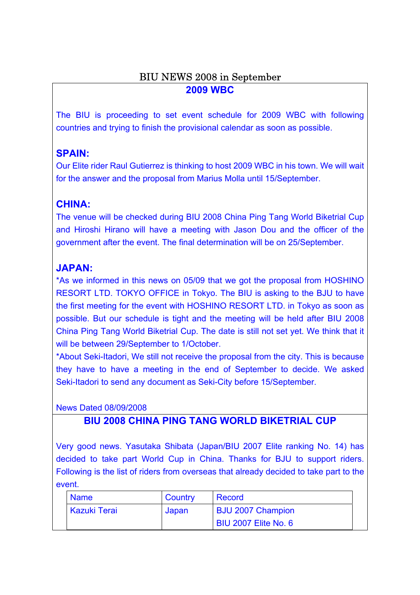### BIU NEWS 2008 in September **2009 WBC**

The BIU is proceeding to set event schedule for 2009 WBC with following countries and trying to finish the provisional calendar as soon as possible.

## **SPAIN:**

Our Elite rider Raul Gutierrez is thinking to host 2009 WBC in his town. We will wait for the answer and the proposal from Marius Molla until 15/September.

## **CHINA:**

The venue will be checked during BIU 2008 China Ping Tang World Biketrial Cup and Hiroshi Hirano will have a meeting with Jason Dou and the officer of the government after the event. The final determination will be on 25/September.

## **JAPAN:**

\*As we informed in this news on 05/09 that we got the proposal from HOSHINO RESORT LTD. TOKYO OFFICE in Tokyo. The BIU is asking to the BJU to have the first meeting for the event with HOSHINO RESORT LTD. in Tokyo as soon as possible. But our schedule is tight and the meeting will be held after BIU 2008 China Ping Tang World Biketrial Cup. The date is still not set yet. We think that it will be between 29/September to 1/October.

\*About Seki-Itadori, We still not receive the proposal from the city. This is because they have to have a meeting in the end of September to decide. We asked Seki-Itadori to send any document as Seki-City before 15/September.

News Dated 08/09/2008

#### **BIU 2008 CHINA PING TANG WORLD BIKETRIAL CUP**

Very good news. Yasutaka Shibata (Japan/BIU 2007 Elite ranking No. 14) has decided to take part World Cup in China. Thanks for BJU to support riders. Following is the list of riders from overseas that already decided to take part to the event.

| <b>Name</b>         | Country | Record                      |
|---------------------|---------|-----------------------------|
| <b>Kazuki Terai</b> | Japan   | <b>BJU 2007 Champion</b>    |
|                     |         | <b>BIU 2007 Elite No. 6</b> |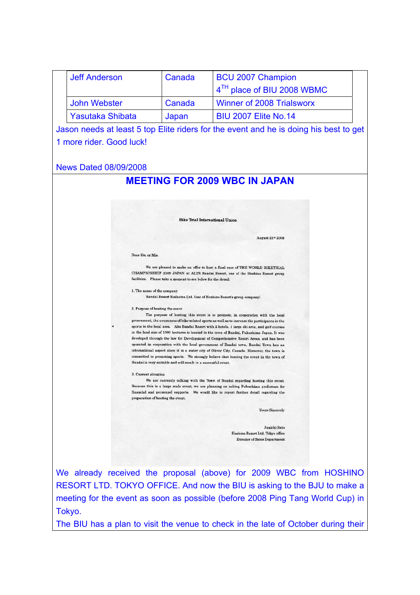|  | <b>Jeff Anderson</b>                                                                                                                                                                                                                                                                                                                                                               | Canada                                                              | <b>BCU 2007 Champion</b>                                                                                                                                                  |  |  |  |  |
|--|------------------------------------------------------------------------------------------------------------------------------------------------------------------------------------------------------------------------------------------------------------------------------------------------------------------------------------------------------------------------------------|---------------------------------------------------------------------|---------------------------------------------------------------------------------------------------------------------------------------------------------------------------|--|--|--|--|
|  |                                                                                                                                                                                                                                                                                                                                                                                    |                                                                     | 4 <sup>TH</sup> place of BIU 2008 WBMC                                                                                                                                    |  |  |  |  |
|  | <b>John Webster</b>                                                                                                                                                                                                                                                                                                                                                                | Canada                                                              | <b>Winner of 2008 Trialsworx</b>                                                                                                                                          |  |  |  |  |
|  | <b>Yasutaka Shibata</b>                                                                                                                                                                                                                                                                                                                                                            | Japan                                                               | <b>BIU 2007 Elite No.14</b>                                                                                                                                               |  |  |  |  |
|  |                                                                                                                                                                                                                                                                                                                                                                                    |                                                                     | Jason needs at least 5 top Elite riders for the event and he is doing his best to get                                                                                     |  |  |  |  |
|  | 1 more rider. Good luck!                                                                                                                                                                                                                                                                                                                                                           |                                                                     |                                                                                                                                                                           |  |  |  |  |
|  |                                                                                                                                                                                                                                                                                                                                                                                    |                                                                     |                                                                                                                                                                           |  |  |  |  |
|  | <b>News Dated 08/09/2008</b>                                                                                                                                                                                                                                                                                                                                                       |                                                                     |                                                                                                                                                                           |  |  |  |  |
|  |                                                                                                                                                                                                                                                                                                                                                                                    |                                                                     | <b>MEETING FOR 2009 WBC IN JAPAN</b>                                                                                                                                      |  |  |  |  |
|  |                                                                                                                                                                                                                                                                                                                                                                                    |                                                                     |                                                                                                                                                                           |  |  |  |  |
|  |                                                                                                                                                                                                                                                                                                                                                                                    |                                                                     |                                                                                                                                                                           |  |  |  |  |
|  |                                                                                                                                                                                                                                                                                                                                                                                    |                                                                     |                                                                                                                                                                           |  |  |  |  |
|  |                                                                                                                                                                                                                                                                                                                                                                                    | <b>Bike Trial International Union</b>                               |                                                                                                                                                                           |  |  |  |  |
|  |                                                                                                                                                                                                                                                                                                                                                                                    |                                                                     | August 21st 2008                                                                                                                                                          |  |  |  |  |
|  | Dear Sir. or Mis.                                                                                                                                                                                                                                                                                                                                                                  |                                                                     |                                                                                                                                                                           |  |  |  |  |
|  |                                                                                                                                                                                                                                                                                                                                                                                    |                                                                     |                                                                                                                                                                           |  |  |  |  |
|  |                                                                                                                                                                                                                                                                                                                                                                                    |                                                                     | We are pleased to make an offer to host a final race of THE WORLD BIKETRIAL<br>CHAMPIONSHIP 2009 JAPAN at ALTS Bandai Resort, one of the Hoshino Resort group             |  |  |  |  |
|  |                                                                                                                                                                                                                                                                                                                                                                                    | facilities. Please take a moment to see below for the detail.       |                                                                                                                                                                           |  |  |  |  |
|  | 1. The name of the company                                                                                                                                                                                                                                                                                                                                                         | Bandai Resort Kaihatsu Ltd. (one of Hoshino Resort's group company) |                                                                                                                                                                           |  |  |  |  |
|  | 2. Purpose of hosting the event                                                                                                                                                                                                                                                                                                                                                    |                                                                     |                                                                                                                                                                           |  |  |  |  |
|  | The purpose of hosting this event is to promote, in cooperation with the local<br>government, the awareness of bike related sports as well as to increase the participants in the<br>sports in the local area. Alts Bandai Resort with 2 hotels, 1 large ski area, and golf courses<br>in the land size of 1000 hectares is located in the town of Bandai, Fukushima Japan. It was |                                                                     |                                                                                                                                                                           |  |  |  |  |
|  |                                                                                                                                                                                                                                                                                                                                                                                    |                                                                     |                                                                                                                                                                           |  |  |  |  |
|  | developed through the law for Development of Comprehensive Resort Areas, and has been<br>operated in cooperation with the local government of Bandai town. Bandai Town has an                                                                                                                                                                                                      |                                                                     |                                                                                                                                                                           |  |  |  |  |
|  |                                                                                                                                                                                                                                                                                                                                                                                    |                                                                     | international aspect since it is a sister city of Oliver City. Canada. Moreover, the town is                                                                              |  |  |  |  |
|  |                                                                                                                                                                                                                                                                                                                                                                                    | Bandai is very suitable and will result in a successful event.      | committed to promoting sports. We strongly believe that hosting the event in the town of                                                                                  |  |  |  |  |
|  | 3. Current situation                                                                                                                                                                                                                                                                                                                                                               |                                                                     |                                                                                                                                                                           |  |  |  |  |
|  |                                                                                                                                                                                                                                                                                                                                                                                    |                                                                     | We are currently talking with the Town of Bandai regarding hosting this event.<br>Because this is a large scale event, we are planning on asking Fukushima prefecture for |  |  |  |  |
|  | preparation of hosting the event.                                                                                                                                                                                                                                                                                                                                                  |                                                                     | financial and personnel supports. We would like to report further detail regarding the                                                                                    |  |  |  |  |
|  |                                                                                                                                                                                                                                                                                                                                                                                    |                                                                     | <b>Yours Sincerely</b>                                                                                                                                                    |  |  |  |  |
|  |                                                                                                                                                                                                                                                                                                                                                                                    |                                                                     |                                                                                                                                                                           |  |  |  |  |
|  | Junichi Sato<br>Hoshino Resort Ltd. Tokyo office                                                                                                                                                                                                                                                                                                                                   |                                                                     |                                                                                                                                                                           |  |  |  |  |
|  |                                                                                                                                                                                                                                                                                                                                                                                    |                                                                     | Director of Sales Department                                                                                                                                              |  |  |  |  |
|  |                                                                                                                                                                                                                                                                                                                                                                                    |                                                                     |                                                                                                                                                                           |  |  |  |  |
|  |                                                                                                                                                                                                                                                                                                                                                                                    |                                                                     |                                                                                                                                                                           |  |  |  |  |
|  |                                                                                                                                                                                                                                                                                                                                                                                    |                                                                     | We already received the proposal (above) for 2009 WBC from HOSHINO                                                                                                        |  |  |  |  |
|  |                                                                                                                                                                                                                                                                                                                                                                                    |                                                                     | RESORT LTD. TOKYO OFFICE. And now the BIU is asking to the BJU to make a                                                                                                  |  |  |  |  |
|  |                                                                                                                                                                                                                                                                                                                                                                                    |                                                                     | meeting for the event as soon as possible (before 2008 Ping Tang World Cup) in                                                                                            |  |  |  |  |
|  | Tokyo.                                                                                                                                                                                                                                                                                                                                                                             |                                                                     |                                                                                                                                                                           |  |  |  |  |
|  |                                                                                                                                                                                                                                                                                                                                                                                    |                                                                     | The BIU has a plan to visit the venue to check in the late of October during their                                                                                        |  |  |  |  |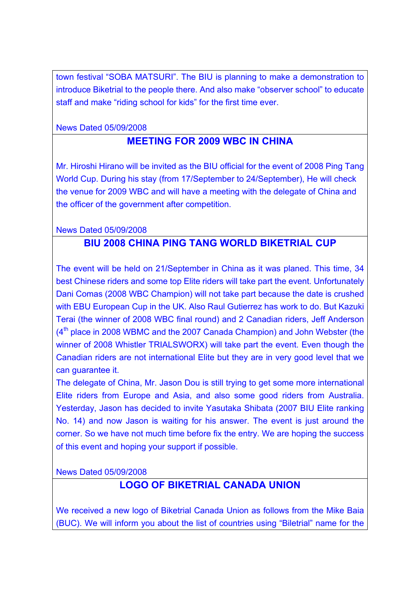town festival "SOBA MATSURI". The BIU is planning to make a demonstration to introduce Biketrial to the people there. And also make "observer school" to educate staff and make "riding school for kids" for the first time ever.

News Dated 05/09/2008

## **MEETING FOR 2009 WBC IN CHINA**

Mr. Hiroshi Hirano will be invited as the BIU official for the event of 2008 Ping Tang World Cup. During his stay (from 17/September to 24/September), He will check the venue for 2009 WBC and will have a meeting with the delegate of China and the officer of the government after competition.

News Dated 05/09/2008

#### **BIU 2008 CHINA PING TANG WORLD BIKETRIAL CUP**

The event will be held on 21/September in China as it was planed. This time, 34 best Chinese riders and some top Elite riders will take part the event. Unfortunately Dani Comas (2008 WBC Champion) will not take part because the date is crushed with EBU European Cup in the UK. Also Raul Gutierrez has work to do. But Kazuki Terai (the winner of 2008 WBC final round) and 2 Canadian riders, Jeff Anderson  $(4<sup>th</sup>$  place in 2008 WBMC and the 2007 Canada Champion) and John Webster (the winner of 2008 Whistler TRIALSWORX) will take part the event. Even though the Canadian riders are not international Elite but they are in very good level that we can guarantee it.

The delegate of China, Mr. Jason Dou is still trying to get some more international Elite riders from Europe and Asia, and also some good riders from Australia. Yesterday, Jason has decided to invite Yasutaka Shibata (2007 BIU Elite ranking No. 14) and now Jason is waiting for his answer. The event is just around the corner. So we have not much time before fix the entry. We are hoping the success of this event and hoping your support if possible.

News Dated 05/09/2008

# **LOGO OF BIKETRIAL CANADA UNION**

We received a new logo of Biketrial Canada Union as follows from the Mike Baia (BUC). We will inform you about the list of countries using "Biletrial" name for the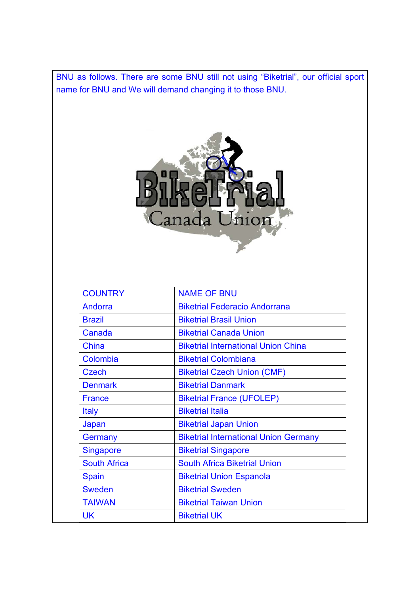BNU as follows. There are some BNU still not using "Biketrial", our official sport name for BNU and We will demand changing it to those BNU.



| <b>COUNTRY</b>      | <b>NAME OF BNU</b>                           |
|---------------------|----------------------------------------------|
| Andorra             | <b>Biketrial Federacio Andorrana</b>         |
| <b>Brazil</b>       | <b>Biketrial Brasil Union</b>                |
| Canada              | <b>Biketrial Canada Union</b>                |
| China               | <b>Biketrial International Union China</b>   |
| Colombia            | <b>Biketrial Colombiana</b>                  |
| Czech               | <b>Biketrial Czech Union (CMF)</b>           |
| <b>Denmark</b>      | <b>Biketrial Danmark</b>                     |
| <b>France</b>       | <b>Biketrial France (UFOLEP)</b>             |
| <b>Italy</b>        | <b>Biketrial Italia</b>                      |
| Japan               | <b>Biketrial Japan Union</b>                 |
| Germany             | <b>Biketrial International Union Germany</b> |
| <b>Singapore</b>    | <b>Biketrial Singapore</b>                   |
| <b>South Africa</b> | <b>South Africa Biketrial Union</b>          |
| <b>Spain</b>        | <b>Biketrial Union Espanola</b>              |
| <b>Sweden</b>       | <b>Biketrial Sweden</b>                      |
| <b>TAIWAN</b>       | <b>Biketrial Taiwan Union</b>                |
| UK                  | <b>Biketrial UK</b>                          |